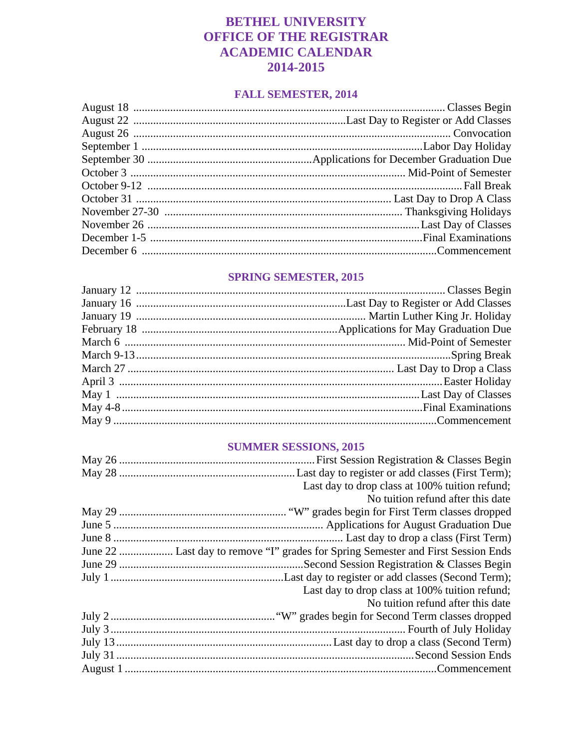## **BETHEL UNIVERSITY OFFICE OF THE REGISTRAR ACADEMIC CALENDAR** 2014-2015

### **FALL SEMESTER, 2014**

### **SPRING SEMESTER, 2015**

### **SUMMER SESSIONS, 2015**

| Last day to drop class at 100% tuition refund;                                    |
|-----------------------------------------------------------------------------------|
| No tuition refund after this date                                                 |
|                                                                                   |
|                                                                                   |
|                                                                                   |
| June 22  Last day to remove "I" grades for Spring Semester and First Session Ends |
|                                                                                   |
|                                                                                   |
| Last day to drop class at 100% tuition refund;                                    |
| No tuition refund after this date                                                 |
|                                                                                   |
|                                                                                   |
|                                                                                   |
|                                                                                   |
|                                                                                   |
|                                                                                   |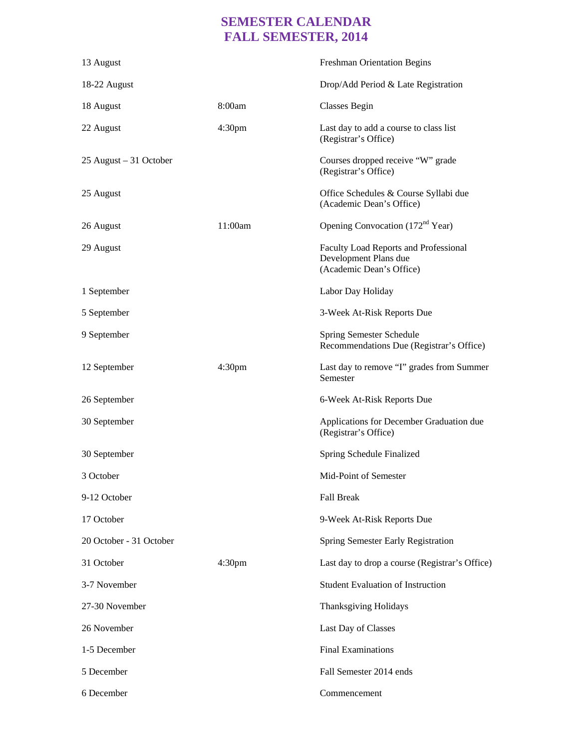# **SEMESTER CALENDAR FALL SEMESTER, 2014**

| 13 August                |                    | <b>Freshman Orientation Begins</b>                                                         |
|--------------------------|--------------------|--------------------------------------------------------------------------------------------|
| 18-22 August             |                    | Drop/Add Period & Late Registration                                                        |
| 18 August                | 8:00am             | <b>Classes Begin</b>                                                                       |
| 22 August                | 4:30 <sub>pm</sub> | Last day to add a course to class list<br>(Registrar's Office)                             |
| $25$ August – 31 October |                    | Courses dropped receive "W" grade<br>(Registrar's Office)                                  |
| 25 August                |                    | Office Schedules & Course Syllabi due<br>(Academic Dean's Office)                          |
| 26 August                | 11:00am            | Opening Convocation (172 <sup>nd</sup> Year)                                               |
| 29 August                |                    | Faculty Load Reports and Professional<br>Development Plans due<br>(Academic Dean's Office) |
| 1 September              |                    | Labor Day Holiday                                                                          |
| 5 September              |                    | 3-Week At-Risk Reports Due                                                                 |
| 9 September              |                    | Spring Semester Schedule<br>Recommendations Due (Registrar's Office)                       |
| 12 September             | 4:30 <sub>pm</sub> | Last day to remove "I" grades from Summer<br>Semester                                      |
| 26 September             |                    | 6-Week At-Risk Reports Due                                                                 |
| 30 September             |                    | Applications for December Graduation due<br>(Registrar's Office)                           |
| 30 September             |                    | Spring Schedule Finalized                                                                  |
| 3 October                |                    | Mid-Point of Semester                                                                      |
| 9-12 October             |                    | <b>Fall Break</b>                                                                          |
| 17 October               |                    | 9-Week At-Risk Reports Due                                                                 |
| 20 October - 31 October  |                    | <b>Spring Semester Early Registration</b>                                                  |
| 31 October               | 4:30 <sub>pm</sub> | Last day to drop a course (Registrar's Office)                                             |
| 3-7 November             |                    | <b>Student Evaluation of Instruction</b>                                                   |
| 27-30 November           |                    | Thanksgiving Holidays                                                                      |
| 26 November              |                    | Last Day of Classes                                                                        |
| 1-5 December             |                    | <b>Final Examinations</b>                                                                  |
| 5 December               |                    | Fall Semester 2014 ends                                                                    |
| 6 December               |                    | Commencement                                                                               |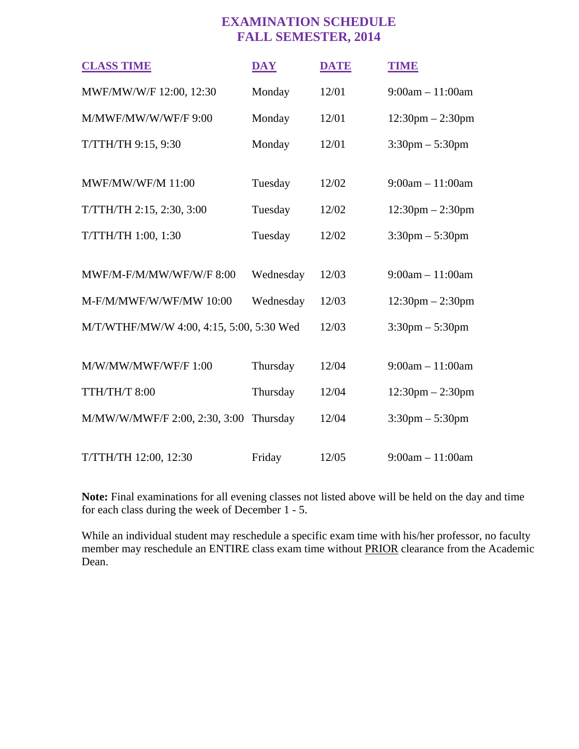## **EXAMINATION SCHEDULE FALL SEMESTER, 2014**

| <b>CLASS TIME</b>                        | <b>DAY</b> | <b>DATE</b> | TIMB                               |
|------------------------------------------|------------|-------------|------------------------------------|
| MWF/MW/W/F 12:00, 12:30                  | Monday     | 12/01       | $9:00am - 11:00am$                 |
| M/MWF/MW/W/WF/F 9:00                     | Monday     | 12/01       | $12:30 \text{pm} - 2:30 \text{pm}$ |
| T/TTH/TH 9:15, 9:30                      | Monday     | 12/01       | $3:30$ pm $-5:30$ pm               |
|                                          |            |             |                                    |
| <b>MWF/MW/WF/M 11:00</b>                 | Tuesday    | 12/02       | $9:00am - 11:00am$                 |
| T/TTH/TH 2:15, 2:30, 3:00                | Tuesday    | 12/02       | $12:30$ pm $- 2:30$ pm             |
| T/TTH/TH 1:00, 1:30                      | Tuesday    | 12/02       | $3:30 \text{pm} - 5:30 \text{pm}$  |
|                                          |            |             |                                    |
| MWF/M-F/M/MW/WF/W/F 8:00                 | Wednesday  | 12/03       | $9:00am - 11:00am$                 |
| M-F/M/MWF/W/WF/MW 10:00                  | Wednesday  | 12/03       | $12:30 \text{pm} - 2:30 \text{pm}$ |
| M/T/WTHF/MW/W 4:00, 4:15, 5:00, 5:30 Wed |            | 12/03       | $3:30 \text{pm} - 5:30 \text{pm}$  |
|                                          |            |             |                                    |
| M/W/MW/MWF/WF/F 1:00                     | Thursday   | 12/04       | $9:00am - 11:00am$                 |
| TTH/TH/T 8:00                            | Thursday   | 12/04       | $12:30$ pm $- 2:30$ pm             |
| M/MW/W/MWF/F 2:00, 2:30, 3:00            | Thursday   | 12/04       | $3:30 \text{pm} - 5:30 \text{pm}$  |
|                                          |            |             |                                    |
| T/TTH/TH 12:00, 12:30                    | Friday     | 12/05       | $9:00am - 11:00am$                 |

**Note:** Final examinations for all evening classes not listed above will be held on the day and time for each class during the week of December 1 - 5.

While an individual student may reschedule a specific exam time with his/her professor, no faculty member may reschedule an ENTIRE class exam time without PRIOR clearance from the Academic Dean.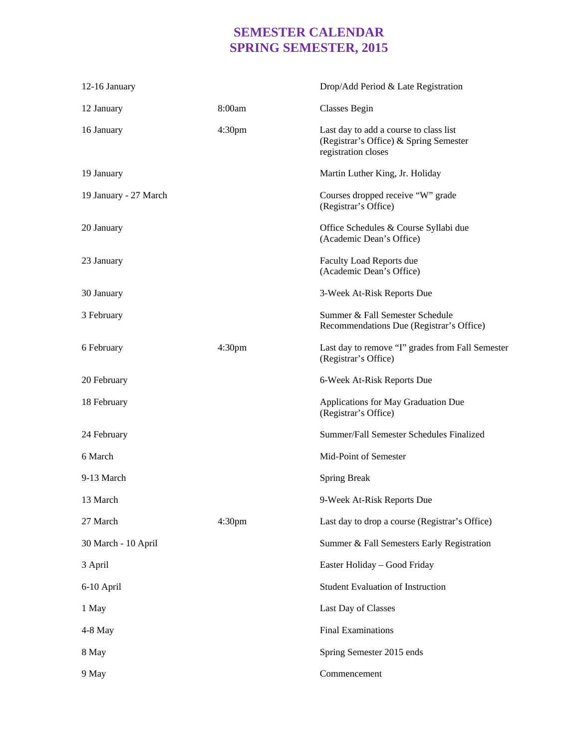## **SEMESTER CALENDAR SPRING SEMESTER, 2015**

| 12-16 January         |                    | Drop/Add Period & Late Registration                                                                     |
|-----------------------|--------------------|---------------------------------------------------------------------------------------------------------|
| 12 January            | 8:00am             | <b>Classes Begin</b>                                                                                    |
| 16 January            | 4:30 <sub>pm</sub> | Last day to add a course to class list<br>(Registrar's Office) & Spring Semester<br>registration closes |
| 19 January            |                    | Martin Luther King, Jr. Holiday                                                                         |
| 19 January - 27 March |                    | Courses dropped receive "W" grade<br>(Registrar's Office)                                               |
| 20 January            |                    | Office Schedules & Course Syllabi due<br>(Academic Dean's Office)                                       |
| 23 January            |                    | <b>Faculty Load Reports due</b><br>(Academic Dean's Office)                                             |
| 30 January            |                    | 3-Week At-Risk Reports Due                                                                              |
| 3 February            |                    | Summer & Fall Semester Schedule<br>Recommendations Due (Registrar's Office)                             |
| 6 February            | 4:30 <sub>pm</sub> | Last day to remove "I" grades from Fall Semester<br>(Registrar's Office)                                |
| 20 February           |                    | 6-Week At-Risk Reports Due                                                                              |
| 18 February           |                    | Applications for May Graduation Due<br>(Registrar's Office)                                             |
| 24 February           |                    | Summer/Fall Semester Schedules Finalized                                                                |
| 6 March               |                    | Mid-Point of Semester                                                                                   |
| 9-13 March            |                    | <b>Spring Break</b>                                                                                     |
| 13 March              |                    | 9-Week At-Risk Reports Due                                                                              |
| 27 March              | 4:30 <sub>pm</sub> | Last day to drop a course (Registrar's Office)                                                          |
| 30 March - 10 April   |                    | Summer & Fall Semesters Early Registration                                                              |
| 3 April               |                    | Easter Holiday - Good Friday                                                                            |
| 6-10 April            |                    | <b>Student Evaluation of Instruction</b>                                                                |
| 1 May                 |                    | Last Day of Classes                                                                                     |
| 4-8 May               |                    | <b>Final Examinations</b>                                                                               |
| 8 May                 |                    | Spring Semester 2015 ends                                                                               |
| 9 May                 |                    | Commencement                                                                                            |